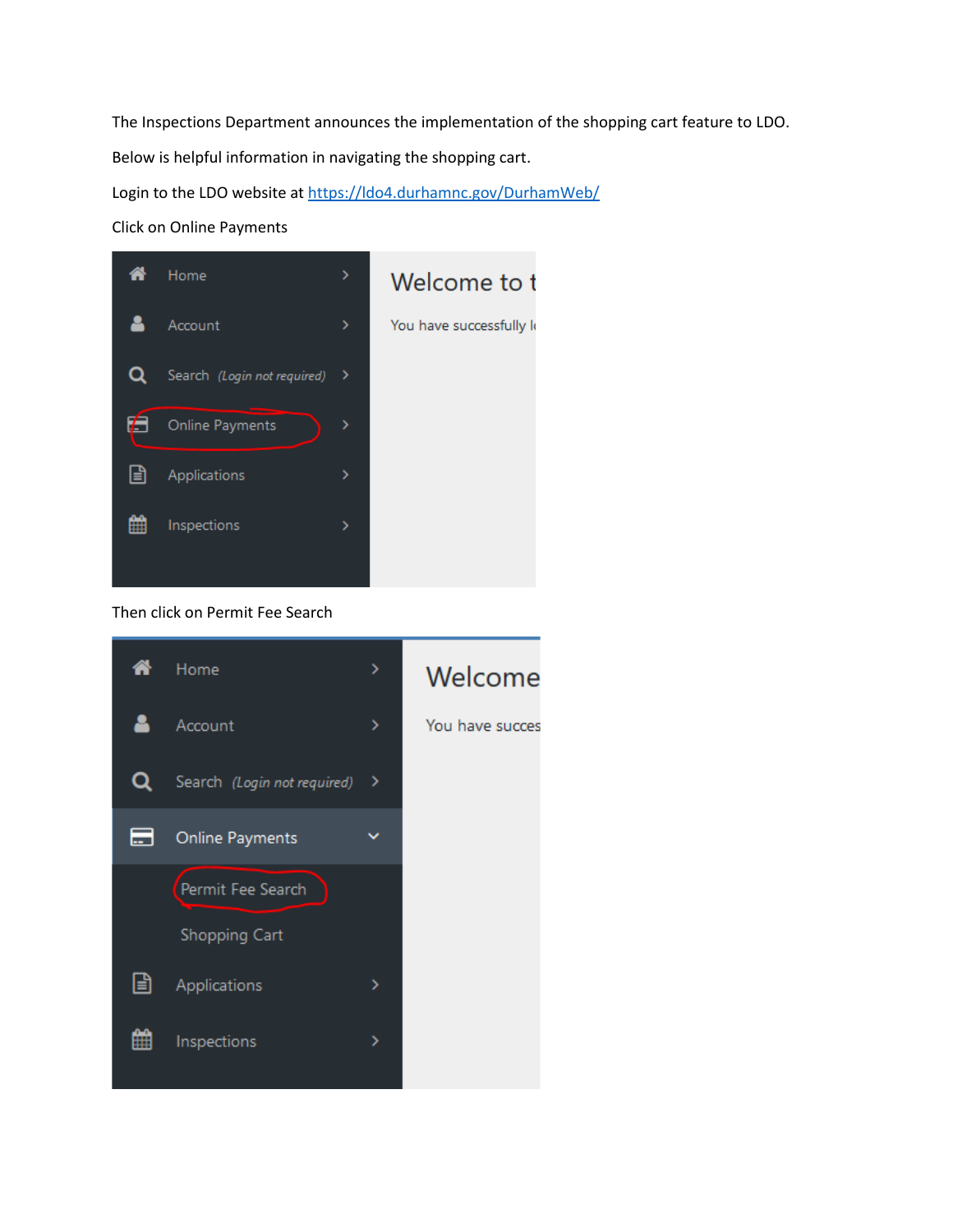The Inspections Department announces the implementation of the shopping cart feature to LDO.

Below is helpful information in navigating the shopping cart.

Login to the LDO website at<https://ldo4.durhamnc.gov/DurhamWeb/>

Click on Online Payments



## Then click on Permit Fee Search

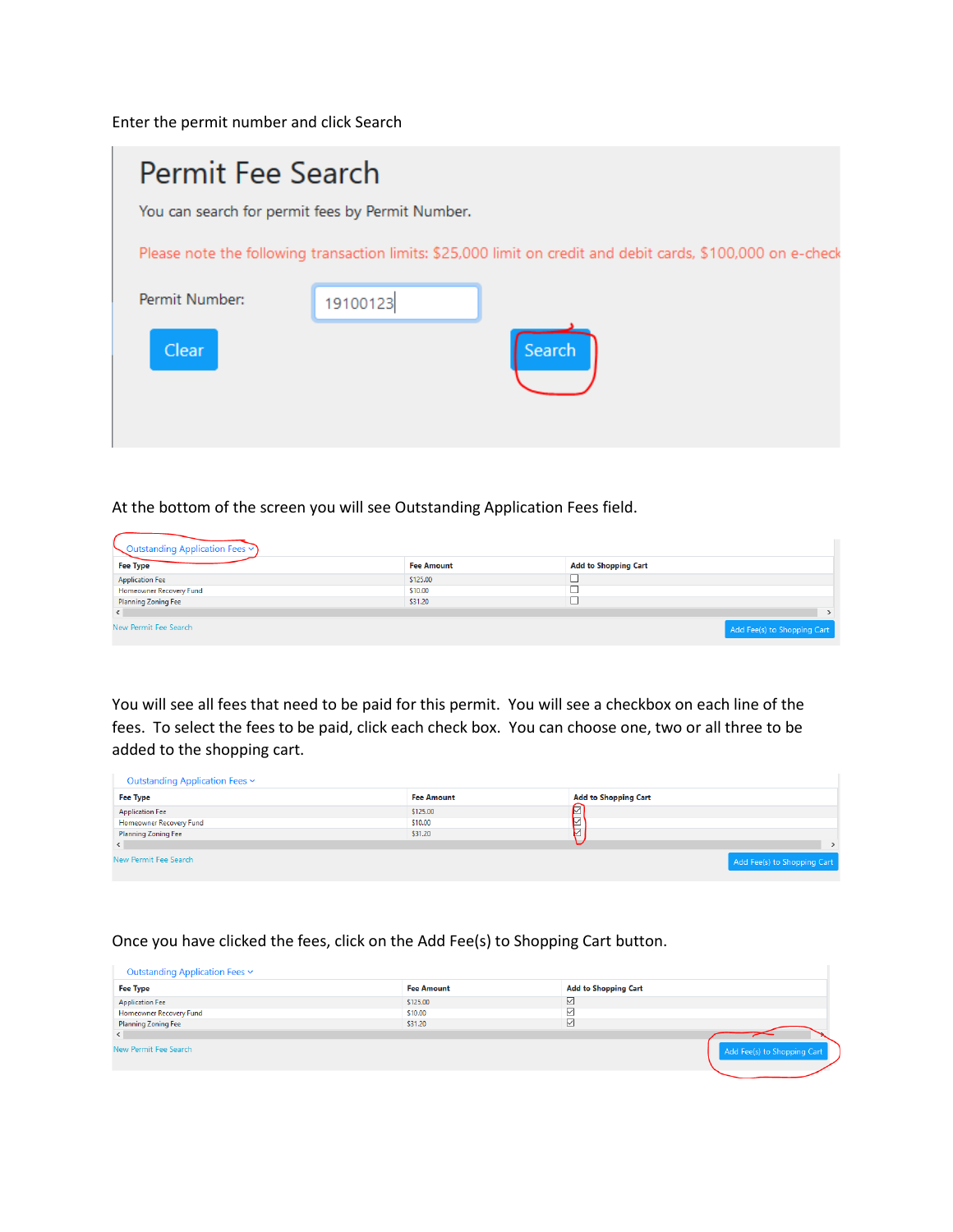Enter the permit number and click Search

| Permit Fee Search                                |          |                                                                                                              |  |  |  |  |
|--------------------------------------------------|----------|--------------------------------------------------------------------------------------------------------------|--|--|--|--|
| You can search for permit fees by Permit Number. |          |                                                                                                              |  |  |  |  |
|                                                  |          | Please note the following transaction limits: \$25,000 limit on credit and debit cards, \$100,000 on e-check |  |  |  |  |
| Permit Number:                                   | 19100123 |                                                                                                              |  |  |  |  |
| <b>Clear</b>                                     |          | Search                                                                                                       |  |  |  |  |

### At the bottom of the screen you will see Outstanding Application Fees field.

| Outstanding Application Fees $\vee$ |                   |                             |                             |
|-------------------------------------|-------------------|-----------------------------|-----------------------------|
| <b>Fee Type</b>                     | <b>Fee Amount</b> | <b>Add to Shopping Cart</b> |                             |
| <b>Application Fee</b>              | \$125.00          |                             |                             |
| <b>Homeowner Recovery Fund</b>      | \$10.00           |                             |                             |
| <b>Planning Zoning Fee</b>          | \$31.20           |                             |                             |
|                                     |                   |                             |                             |
| New Permit Fee Search               |                   |                             | Add Fee(s) to Shopping Cart |

You will see all fees that need to be paid for this permit. You will see a checkbox on each line of the fees. To select the fees to be paid, click each check box. You can choose one, two or all three to be added to the shopping cart.

| Outstanding Application Fees v |                   |                             |
|--------------------------------|-------------------|-----------------------------|
| <b>Fee Type</b>                | <b>Fee Amount</b> | <b>Add to Shopping Cart</b> |
| <b>Application Fee</b>         | \$125,00          | ☑                           |
| Homeowner Recovery Fund        | \$10.00           | ☑                           |
| <b>Planning Zoning Fee</b>     | \$31.20           | ⊵                           |
|                                |                   |                             |
| New Permit Fee Search          |                   | Add Fee(s) to Shopping Cart |

#### Once you have clicked the fees, click on the Add Fee(s) to Shopping Cart button.

| Outstanding Application Fees v |                   |                             |                             |
|--------------------------------|-------------------|-----------------------------|-----------------------------|
| <b>Fee Type</b>                | <b>Fee Amount</b> | <b>Add to Shopping Cart</b> |                             |
| <b>Application Fee</b>         | \$125.00          | M                           |                             |
| Homeowner Recovery Fund        | \$10.00           |                             |                             |
| <b>Planning Zoning Fee</b>     | \$31.20           | ∨                           |                             |
| $\left\langle \right\rangle$   |                   |                             |                             |
| New Permit Fee Search          |                   |                             | Add Fee(s) to Shopping Cart |
|                                |                   |                             |                             |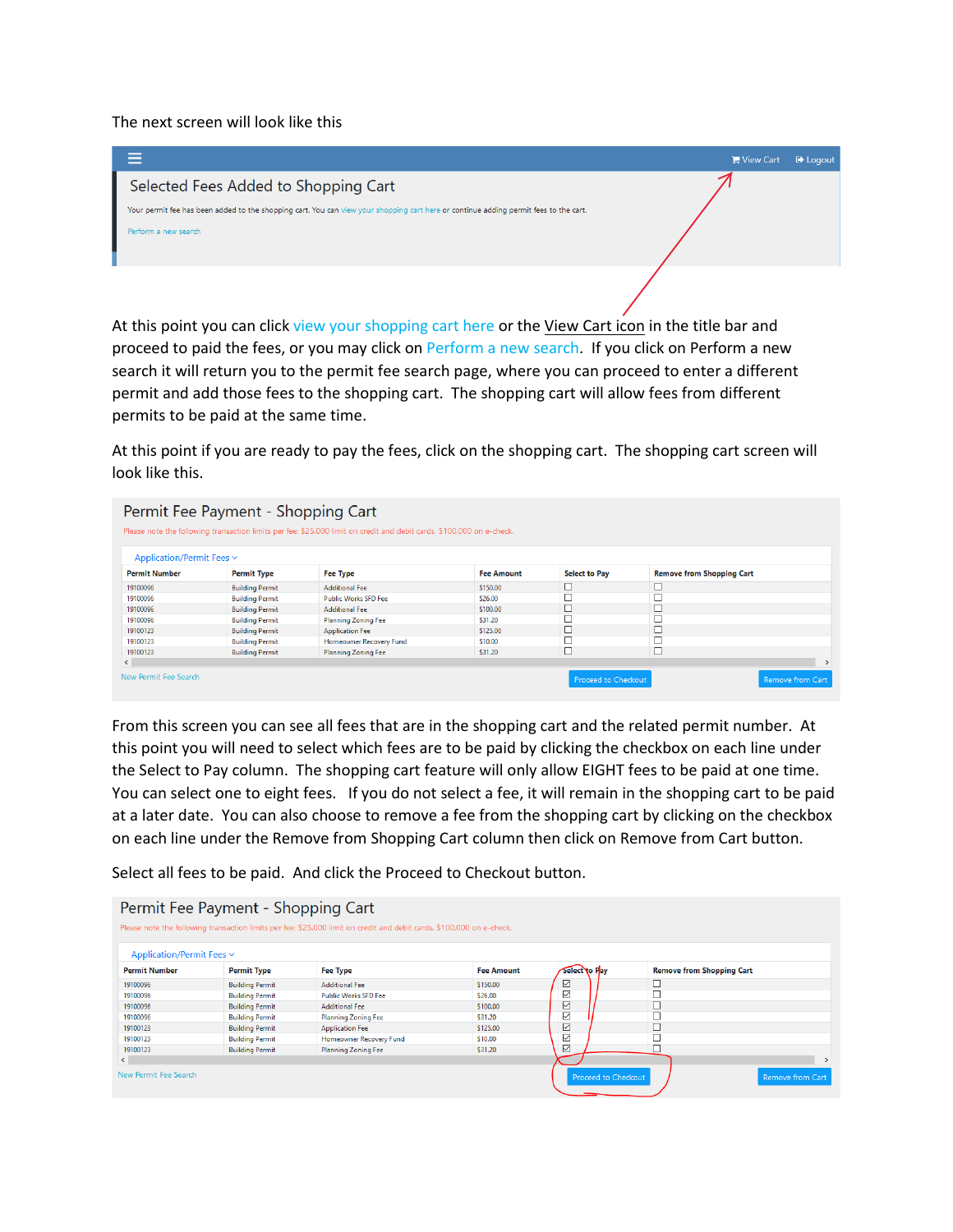The next screen will look like this



At this point you can click view your shopping cart here or the View Cart icon in the title bar and proceed to paid the fees, or you may click on Perform a new search. If you click on Perform a new search it will return you to the permit fee search page, where you can proceed to enter a different permit and add those fees to the shopping cart. The shopping cart will allow fees from different permits to be paid at the same time.

At this point if you are ready to pay the fees, click on the shopping cart. The shopping cart screen will look like this.

|                                | Permit Fee Payment - Shopping Cart<br>Please note the following transaction limits per fee: \$25,000 limit on credit and debit cards, \$100,000 on e-check. |                             |                   |                            |                                  |                         |  |
|--------------------------------|-------------------------------------------------------------------------------------------------------------------------------------------------------------|-----------------------------|-------------------|----------------------------|----------------------------------|-------------------------|--|
| Application/Permit Fees $\sim$ |                                                                                                                                                             |                             |                   |                            |                                  |                         |  |
| <b>Permit Number</b>           | <b>Permit Type</b>                                                                                                                                          | Fee Type                    | <b>Fee Amount</b> | <b>Select to Pay</b>       | <b>Remove from Shopping Cart</b> |                         |  |
| 19100096                       | <b>Building Permit</b>                                                                                                                                      | <b>Additional Fee</b>       | \$150,00          |                            |                                  |                         |  |
| 19100096                       | <b>Building Permit</b>                                                                                                                                      | <b>Public Works SFD Fee</b> | \$26.00           |                            | $\Box$                           |                         |  |
| 19100096                       | <b>Building Permit</b>                                                                                                                                      | <b>Additional Fee</b>       | \$100.00          |                            | □                                |                         |  |
| 19100096                       | <b>Building Permit</b>                                                                                                                                      | <b>Planning Zoning Fee</b>  | \$31.20           |                            | с                                |                         |  |
| 19100123                       | <b>Building Permit</b>                                                                                                                                      | <b>Application Fee</b>      | \$125,00          |                            |                                  |                         |  |
| 19100123                       | <b>Building Permit</b>                                                                                                                                      | Homeowner Recovery Fund     | \$10,00           |                            |                                  |                         |  |
| 19100123                       | <b>Building Permit</b>                                                                                                                                      | <b>Planning Zoning Fee</b>  | \$31.20           |                            | ⊏                                |                         |  |
| $\left\langle \right\rangle$   |                                                                                                                                                             |                             |                   |                            |                                  | $\rightarrow$           |  |
| New Permit Fee Search          |                                                                                                                                                             |                             |                   | <b>Proceed to Checkout</b> |                                  | <b>Remove from Cart</b> |  |

From this screen you can see all fees that are in the shopping cart and the related permit number. At this point you will need to select which fees are to be paid by clicking the checkbox on each line under the Select to Pay column. The shopping cart feature will only allow EIGHT fees to be paid at one time. You can select one to eight fees. If you do not select a fee, it will remain in the shopping cart to be paid at a later date. You can also choose to remove a fee from the shopping cart by clicking on the checkbox on each line under the Remove from Shopping Cart column then click on Remove from Cart button.

Select all fees to be paid. And click the Proceed to Checkout button.

|                           | Permit Fee Payment - Shopping Cart | Please note the following transaction limits per fee: \$25,000 limit on credit and debit cards, \$100,000 on e-check. |                   |                            |                                  |                  |
|---------------------------|------------------------------------|-----------------------------------------------------------------------------------------------------------------------|-------------------|----------------------------|----------------------------------|------------------|
| Application/Permit Fees v |                                    |                                                                                                                       |                   |                            |                                  |                  |
| <b>Permit Number</b>      | <b>Permit Type</b>                 | <b>Fee Type</b>                                                                                                       | <b>Fee Amount</b> | Select to Pay              | <b>Remove from Shopping Cart</b> |                  |
| 19100096                  | <b>Building Permit</b>             | <b>Additional Fee</b>                                                                                                 | \$150.00          | ☑                          |                                  |                  |
| 19100096                  | <b>Building Permit</b>             | <b>Public Works SFD Fee</b>                                                                                           | \$26.00           | $\checkmark$               | $\Box$                           |                  |
| 19100096                  | <b>Building Permit</b>             | <b>Additional Fee</b>                                                                                                 | \$100.00          | ☑                          | $\square$                        |                  |
| 19100096                  | <b>Building Permit</b>             | <b>Planning Zoning Fee</b>                                                                                            | \$31.20           | $\overline{\vee}$          | □                                |                  |
| 19100123                  | <b>Building Permit</b>             | <b>Application Fee</b>                                                                                                | \$125,00          | ☑                          | □                                |                  |
| 19100123                  | <b>Building Permit</b>             | Homeowner Recovery Fund                                                                                               | \$10.00           | $\checkmark$               |                                  |                  |
| 19100123                  | <b>Building Permit</b>             | <b>Planning Zoning Fee</b>                                                                                            | \$31.20           | ☑                          |                                  |                  |
| $\langle$                 |                                    |                                                                                                                       |                   |                            |                                  | $\rightarrow$    |
| New Permit Fee Search     |                                    |                                                                                                                       |                   | <b>Proceed to Checkout</b> |                                  | Remove from Cart |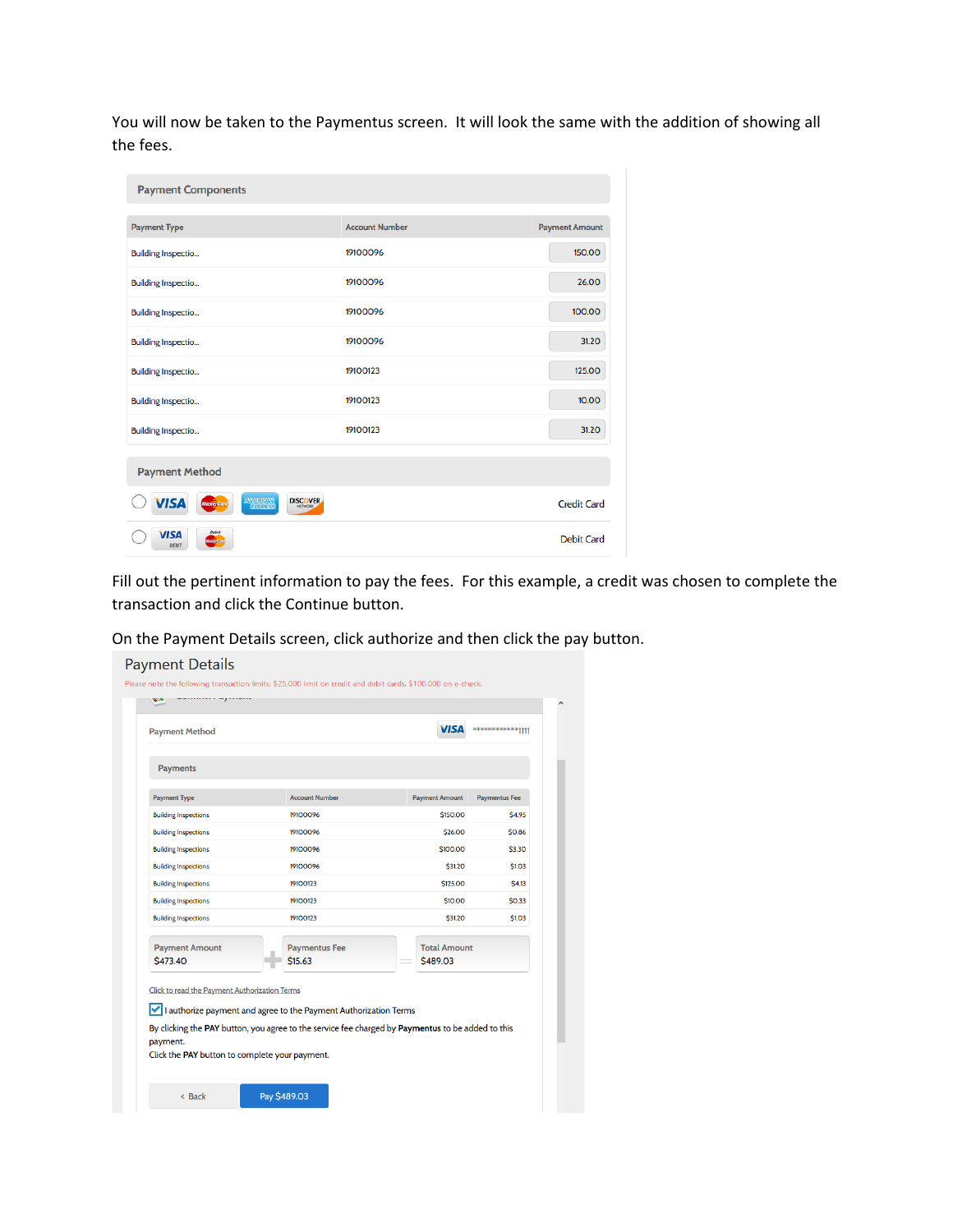You will now be taken to the Paymentus screen. It will look the same with the addition of showing all the fees.

| <b>Payment Components</b>                                |                       |                       |
|----------------------------------------------------------|-----------------------|-----------------------|
| <b>Payment Type</b>                                      | <b>Account Number</b> | <b>Payment Amount</b> |
| <b>Building Inspectio</b>                                | 19100096              | 150.00                |
| <b>Building Inspectio</b>                                | 19100096              | 26.00                 |
| <b>Building Inspectio</b>                                | 19100096              | 100.00                |
| <b>Building Inspectio</b>                                | 19100096              | 31.20                 |
| <b>Building Inspectio</b>                                | 19100123              | 125,00                |
| <b>Building Inspectio</b>                                | 19100123              | 10.00                 |
| <b>Building Inspectio</b>                                | 19100123              | 31.20                 |
| <b>Payment Method</b>                                    |                       |                       |
| AMERICAN<br><b>DISCOVER</b><br>VISA<br><b>MasterCard</b> |                       | <b>Credit Card</b>    |
| Debit<br><b>VISA</b><br><b>MasterCard</b><br>DEBIT       |                       | <b>Debit Card</b>     |

Fill out the pertinent information to pay the fees. For this example, a credit was chosen to complete the transaction and click the Continue button.

On the Payment Details screen, click authorize and then click the pay button.

| <b>Payments</b><br><b>Payment Type</b><br><b>Account Number</b><br><b>Paymentus Fee</b><br><b>Payment Amount</b><br>\$150.00<br><b>Building Inspections</b><br>19100096<br><b>Building Inspections</b><br>19100096<br>\$26.00<br>\$100.00<br><b>Building Inspections</b><br>19100096<br><b>Building Inspections</b><br>19100096<br>\$31.20<br>\$125,00<br><b>Building Inspections</b><br>19100123 |        |
|---------------------------------------------------------------------------------------------------------------------------------------------------------------------------------------------------------------------------------------------------------------------------------------------------------------------------------------------------------------------------------------------------|--------|
|                                                                                                                                                                                                                                                                                                                                                                                                   |        |
|                                                                                                                                                                                                                                                                                                                                                                                                   |        |
|                                                                                                                                                                                                                                                                                                                                                                                                   |        |
|                                                                                                                                                                                                                                                                                                                                                                                                   | \$4.95 |
|                                                                                                                                                                                                                                                                                                                                                                                                   | \$0.86 |
|                                                                                                                                                                                                                                                                                                                                                                                                   | \$3.30 |
|                                                                                                                                                                                                                                                                                                                                                                                                   | \$1.03 |
|                                                                                                                                                                                                                                                                                                                                                                                                   | \$4.13 |
| <b>Building Inspections</b><br>\$10,00<br>19100123                                                                                                                                                                                                                                                                                                                                                | \$0.33 |
| \$31.20<br><b>Building Inspections</b><br>19100123                                                                                                                                                                                                                                                                                                                                                | \$1.03 |
| <b>Paymentus Fee</b><br><b>Total Amount</b><br><b>Payment Amount</b><br>\$473.40<br>\$15.63<br>\$489.03                                                                                                                                                                                                                                                                                           |        |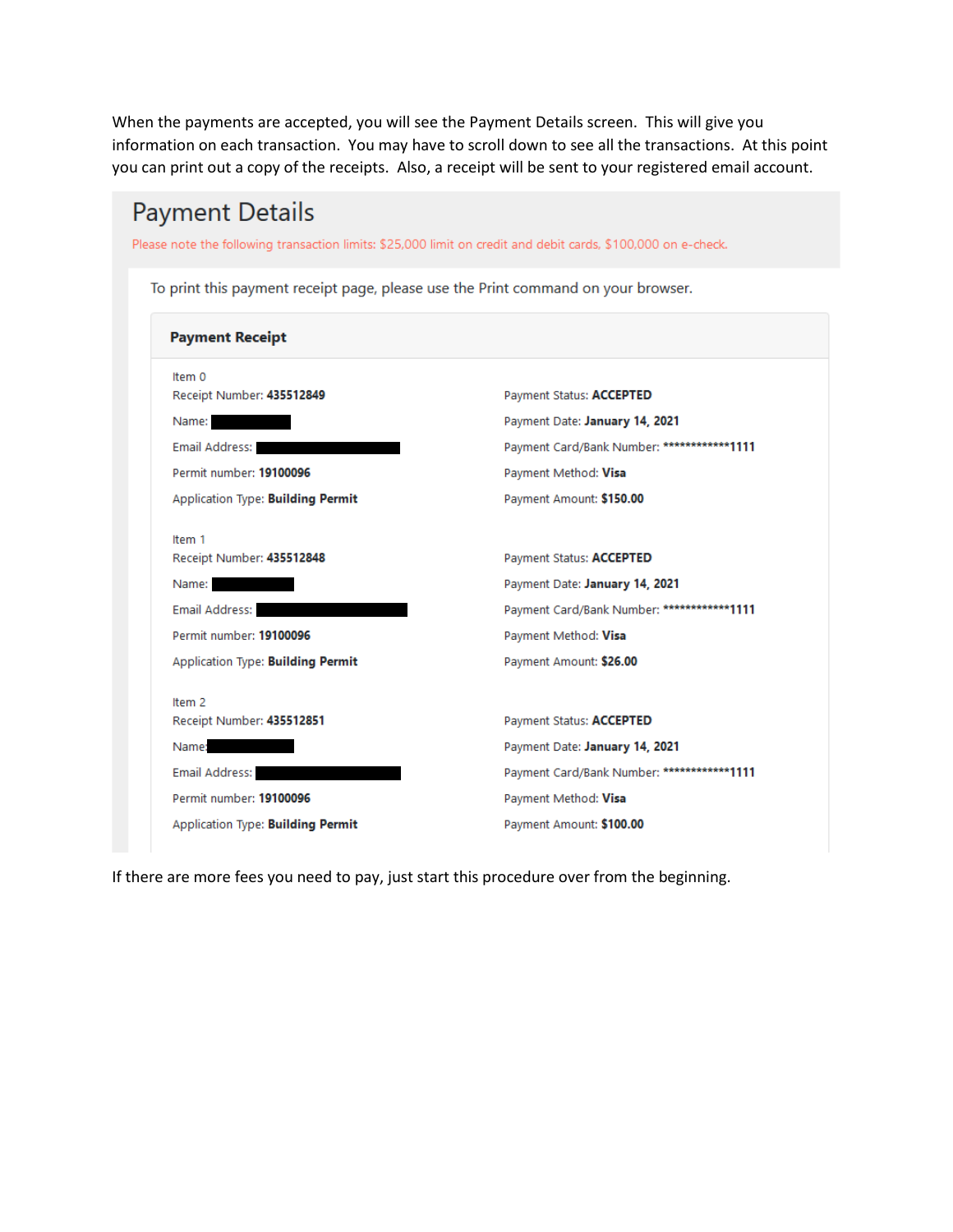When the payments are accepted, you will see the Payment Details screen. This will give you information on each transaction. You may have to scroll down to see all the transactions. At this point you can print out a copy of the receipts. Also, a receipt will be sent to your registered email account.

| <b>Payment Details</b>                                                                                        |                                            |  |  |  |  |  |
|---------------------------------------------------------------------------------------------------------------|--------------------------------------------|--|--|--|--|--|
| Please note the following transaction limits: \$25,000 limit on credit and debit cards, \$100,000 on e-check. |                                            |  |  |  |  |  |
| To print this payment receipt page, please use the Print command on your browser.                             |                                            |  |  |  |  |  |
| <b>Payment Receipt</b>                                                                                        |                                            |  |  |  |  |  |
| Item 0<br>Receipt Number: 435512849                                                                           | Payment Status: ACCEPTED                   |  |  |  |  |  |
| Name:                                                                                                         | Payment Date: January 14, 2021             |  |  |  |  |  |
| Email Address:                                                                                                | Payment Card/Bank Number: ************1111 |  |  |  |  |  |
| Permit number: 19100096                                                                                       | Payment Method: Visa                       |  |  |  |  |  |
| Application Type: Building Permit                                                                             | Payment Amount: \$150.00                   |  |  |  |  |  |
| Item 1                                                                                                        |                                            |  |  |  |  |  |
| Receipt Number: 435512848                                                                                     | Payment Status: ACCEPTED                   |  |  |  |  |  |
| Name:                                                                                                         | Payment Date: January 14, 2021             |  |  |  |  |  |
| <b>Email Address:</b>                                                                                         | Payment Card/Bank Number: ************1111 |  |  |  |  |  |
| Permit number: 19100096                                                                                       | Payment Method: Visa                       |  |  |  |  |  |
| <b>Application Type: Building Permit</b>                                                                      | Payment Amount: \$26.00                    |  |  |  |  |  |
| Item 2                                                                                                        |                                            |  |  |  |  |  |
| Receipt Number: 435512851                                                                                     | Payment Status: ACCEPTED                   |  |  |  |  |  |
| Name:                                                                                                         | Payment Date: January 14, 2021             |  |  |  |  |  |
| Email Address:                                                                                                | Payment Card/Bank Number: ************1111 |  |  |  |  |  |
| Permit number: 19100096                                                                                       | Payment Method: Visa                       |  |  |  |  |  |
| <b>Application Type: Building Permit</b>                                                                      | Payment Amount: \$100.00                   |  |  |  |  |  |
|                                                                                                               |                                            |  |  |  |  |  |

If there are more fees you need to pay, just start this procedure over from the beginning.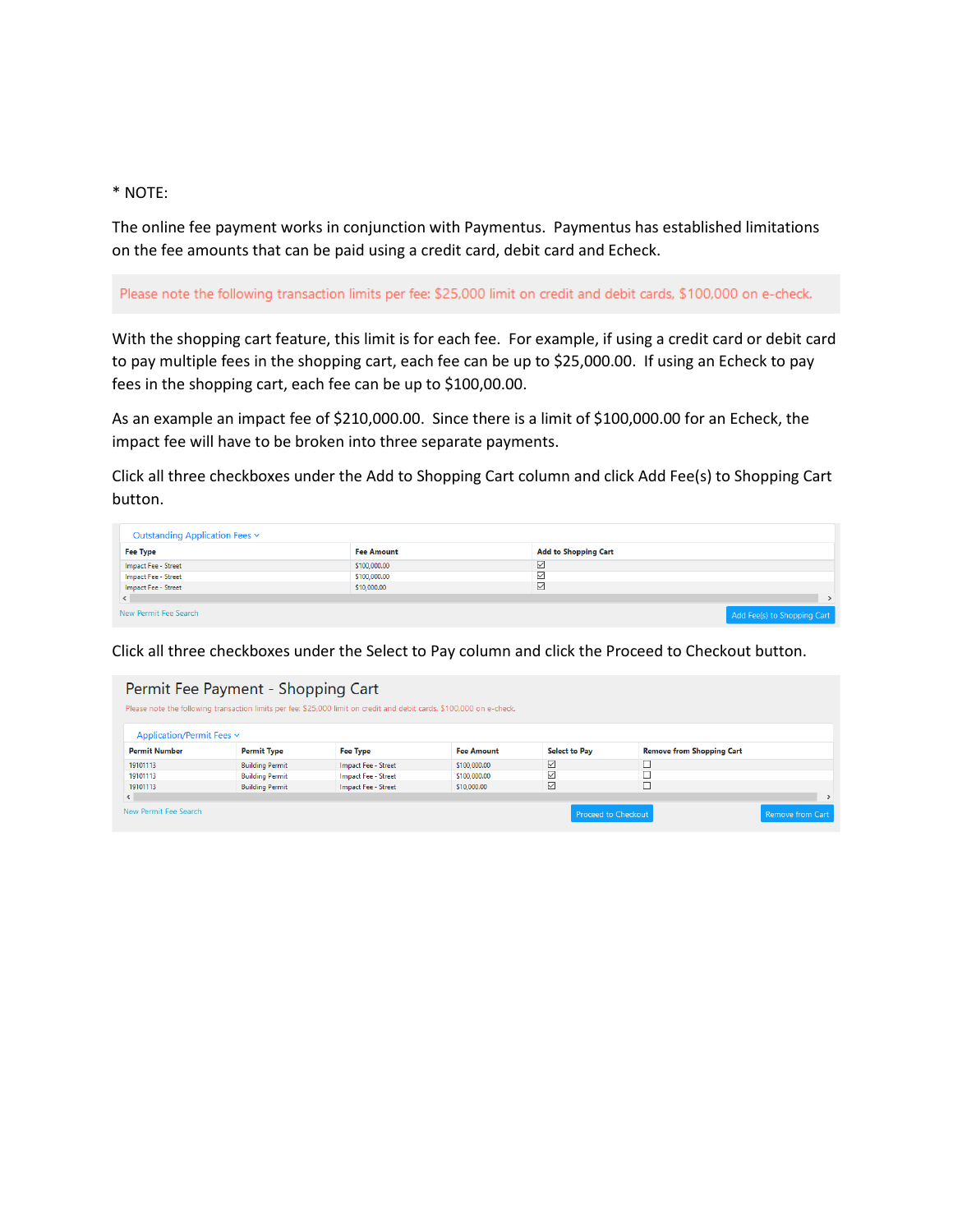#### \* NOTE:

The online fee payment works in conjunction with Paymentus. Paymentus has established limitations on the fee amounts that can be paid using a credit card, debit card and Echeck.

Please note the following transaction limits per fee: \$25,000 limit on credit and debit cards, \$100,000 on e-check.

With the shopping cart feature, this limit is for each fee. For example, if using a credit card or debit card to pay multiple fees in the shopping cart, each fee can be up to \$25,000.00. If using an Echeck to pay fees in the shopping cart, each fee can be up to \$100,00.00.

As an example an impact fee of \$210,000.00. Since there is a limit of \$100,000.00 for an Echeck, the impact fee will have to be broken into three separate payments.

Click all three checkboxes under the Add to Shopping Cart column and click Add Fee(s) to Shopping Cart button.

| Outstanding Application Fees v |                   |                             |                             |
|--------------------------------|-------------------|-----------------------------|-----------------------------|
| Fee Type                       | <b>Fee Amount</b> | <b>Add to Shopping Cart</b> |                             |
| Impact Fee - Street            | \$100,000.00      | ⊻                           |                             |
| Impact Fee - Street            | \$100,000.00      | ⊻                           |                             |
| Impact Fee - Street            | \$10,000.00       | ☑                           |                             |
|                                |                   |                             |                             |
| New Permit Fee Search          |                   |                             | Add Fee(s) to Shopping Cart |

Click all three checkboxes under the Select to Pay column and click the Proceed to Checkout button.

|                           | Permit Fee Payment - Shopping Cart | Please note the following transaction limits per fee: \$25,000 limit on credit and debit cards, \$100,000 on e-check. |                   |                      |                                  |                  |
|---------------------------|------------------------------------|-----------------------------------------------------------------------------------------------------------------------|-------------------|----------------------|----------------------------------|------------------|
| Application/Permit Fees ~ |                                    |                                                                                                                       |                   |                      |                                  |                  |
| <b>Permit Number</b>      | <b>Permit Type</b>                 | <b>Fee Type</b>                                                                                                       | <b>Fee Amount</b> | <b>Select to Pay</b> | <b>Remove from Shopping Cart</b> |                  |
| 19101113                  | <b>Building Permit</b>             | Impact Fee - Street                                                                                                   | \$100,000.00      | $\triangledown$      |                                  |                  |
| 19101113                  | <b>Building Permit</b>             | <b>Impact Fee - Street</b>                                                                                            | \$100,000,00      | ☑                    |                                  |                  |
| 19101113                  | <b>Building Permit</b>             | Impact Fee - Street                                                                                                   | \$10,000.00       | ☑                    |                                  |                  |
| $\leq$                    |                                    |                                                                                                                       |                   |                      |                                  | $\rightarrow$    |
| New Permit Fee Search     |                                    |                                                                                                                       |                   | Proceed to Checkout  |                                  | Remove from Cart |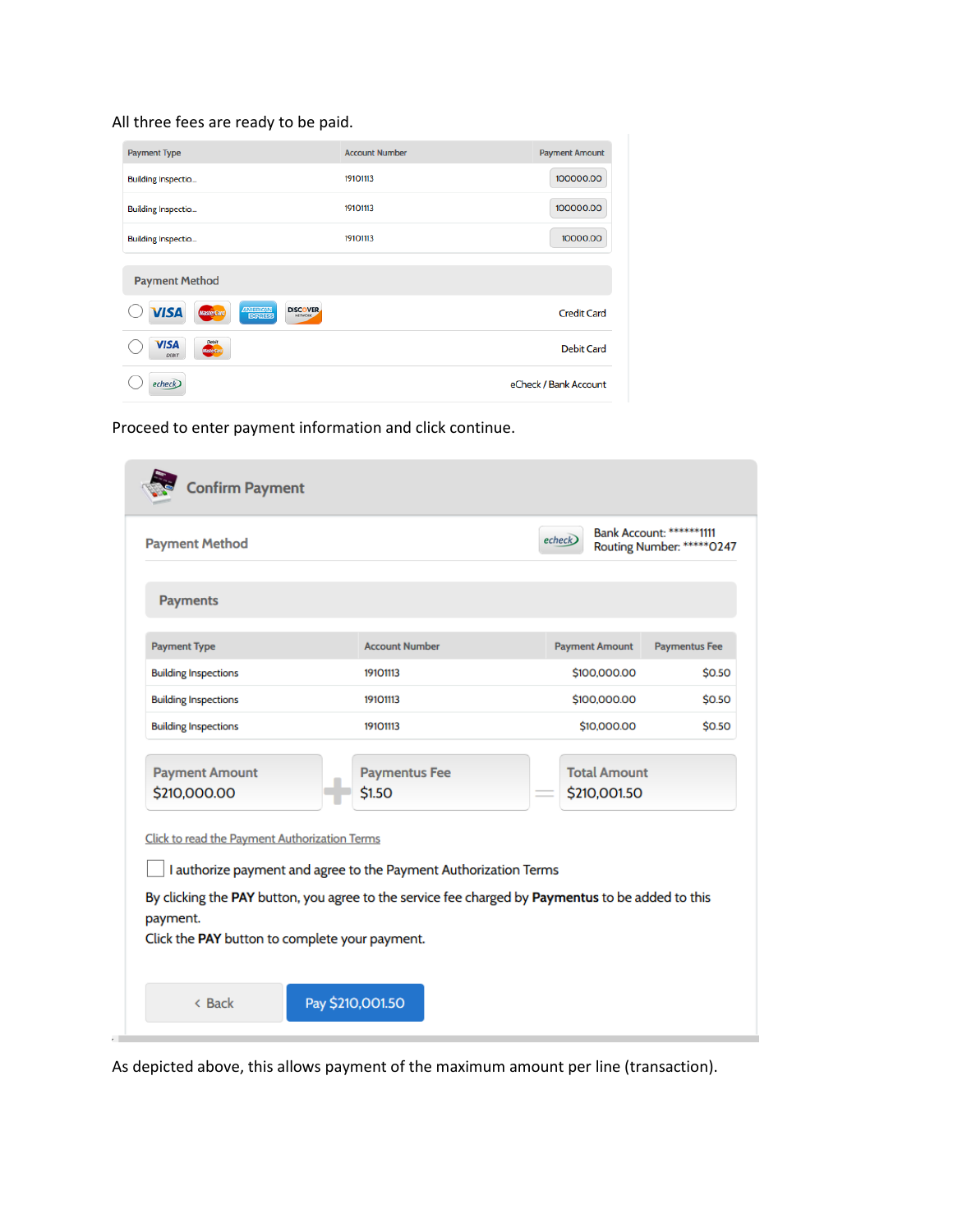# All three fees are ready to be paid.

| <b>Payment Type</b>                                                                         | <b>Account Number</b> | <b>Payment Amount</b> |
|---------------------------------------------------------------------------------------------|-----------------------|-----------------------|
| <b>Building Inspectio</b>                                                                   | 19101113              | 100000.00             |
| <b>Building Inspectio</b>                                                                   | 19101113              | 100000.00             |
| <b>Building Inspectio</b>                                                                   | 19101113              | 10000.00              |
| <b>Payment Method</b>                                                                       |                       |                       |
| AMERICAN<br>EGREES<br><b>DISCOVER</b><br><b>VISA</b><br><b>MasterCard</b><br><b>NETWORK</b> |                       | <b>Credit Card</b>    |
| Debit<br><b>VISA</b><br><b>CENTRAL</b><br><b>DEBIT</b>                                      |                       | <b>Debit Card</b>     |
| echeck                                                                                      |                       | eCheck / Bank Account |

Proceed to enter payment information and click continue.

| <b>Payment Method</b>                                      |                                                                  | Bank Account: *******1111<br>echeck<br>Routing Number: ******0247                                 |                      |
|------------------------------------------------------------|------------------------------------------------------------------|---------------------------------------------------------------------------------------------------|----------------------|
| <b>Payments</b>                                            |                                                                  |                                                                                                   |                      |
| <b>Payment Type</b>                                        | <b>Account Number</b>                                            | <b>Payment Amount</b>                                                                             | <b>Paymentus Fee</b> |
| <b>Building Inspections</b>                                | 19101113                                                         | \$100,000.00                                                                                      | \$0.50               |
| <b>Building Inspections</b>                                | 19101113                                                         | \$100,000.00                                                                                      | \$0.50               |
| <b>Building Inspections</b>                                | 19101113                                                         | \$10,000.00                                                                                       | \$0.50               |
| <b>Payment Amount</b><br>\$210,000.00                      | <b>Paymentus Fee</b><br>\$1.50                                   | <b>Total Amount</b><br>\$210,001.50                                                               |                      |
| Click to read the Payment Authorization Terms              | I authorize payment and agree to the Payment Authorization Terms |                                                                                                   |                      |
| payment.<br>Click the PAY button to complete your payment. |                                                                  | By clicking the PAY button, you agree to the service fee charged by Paymentus to be added to this |                      |

As depicted above, this allows payment of the maximum amount per line (transaction).